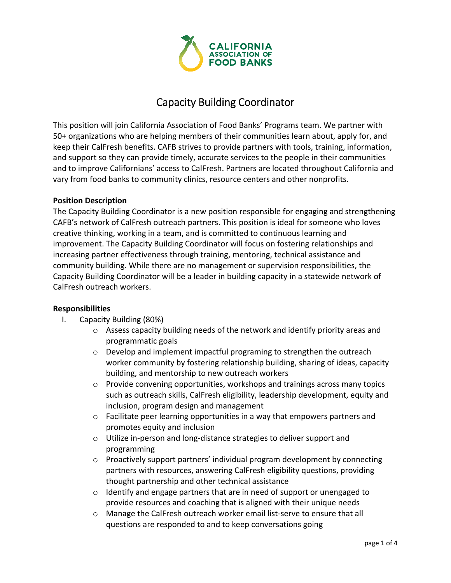

# Capacity Building Coordinator

This position will join California Association of Food Banks' Programs team. We partner with 50+ organizations who are helping members of their communities learn about, apply for, and keep their CalFresh benefits. CAFB strives to provide partners with tools, training, information, and support so they can provide timely, accurate services to the people in their communities and to improve Californians' access to CalFresh. Partners are located throughout California and vary from food banks to community clinics, resource centers and other nonprofits.

#### **Position Description**

The Capacity Building Coordinator is a new position responsible for engaging and strengthening CAFB's network of CalFresh outreach partners. This position is ideal for someone who loves creative thinking, working in a team, and is committed to continuous learning and improvement. The Capacity Building Coordinator will focus on fostering relationships and increasing partner effectiveness through training, mentoring, technical assistance and community building. While there are no management or supervision responsibilities, the Capacity Building Coordinator will be a leader in building capacity in a statewide network of CalFresh outreach workers.

#### **Responsibilities**

- I. Capacity Building (80%)
	- $\circ$  Assess capacity building needs of the network and identify priority areas and programmatic goals
	- o Develop and implement impactful programing to strengthen the outreach worker community by fostering relationship building, sharing of ideas, capacity building, and mentorship to new outreach workers
	- $\circ$  Provide convening opportunities, workshops and trainings across many topics such as outreach skills, CalFresh eligibility, leadership development, equity and inclusion, program design and management
	- o Facilitate peer learning opportunities in a way that empowers partners and promotes equity and inclusion
	- o Utilize in‐person and long‐distance strategies to deliver support and programming
	- $\circ$  Proactively support partners' individual program development by connecting partners with resources, answering CalFresh eligibility questions, providing thought partnership and other technical assistance
	- $\circ$  Identify and engage partners that are in need of support or unengaged to provide resources and coaching that is aligned with their unique needs
	- o Manage the CalFresh outreach worker email list‐serve to ensure that all questions are responded to and to keep conversations going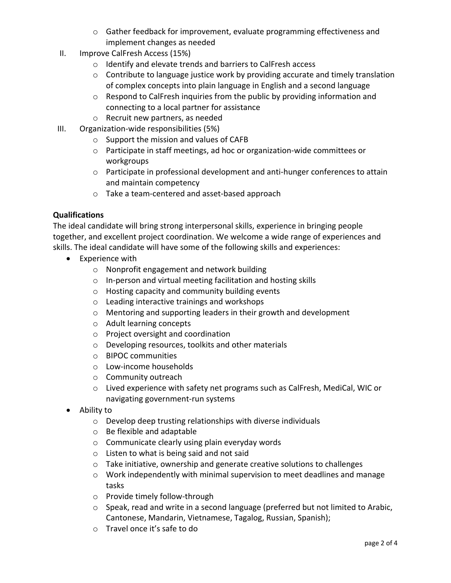- o Gather feedback for improvement, evaluate programming effectiveness and implement changes as needed
- II. Improve CalFresh Access (15%)
	- o Identify and elevate trends and barriers to CalFresh access
	- $\circ$  Contribute to language justice work by providing accurate and timely translation of complex concepts into plain language in English and a second language
	- o Respond to CalFresh inquiries from the public by providing information and connecting to a local partner for assistance
	- o Recruit new partners, as needed
- III. Organization‐wide responsibilities (5%)
	- o Support the mission and values of CAFB
	- o Participate in staff meetings, ad hoc or organization‐wide committees or workgroups
	- o Participate in professional development and anti‐hunger conferences to attain and maintain competency
	- o Take a team‐centered and asset‐based approach

#### **Qualifications**

The ideal candidate will bring strong interpersonal skills, experience in bringing people together, and excellent project coordination. We welcome a wide range of experiences and skills. The ideal candidate will have some of the following skills and experiences:

- Experience with
	- o Nonprofit engagement and network building
	- o In‐person and virtual meeting facilitation and hosting skills
	- o Hosting capacity and community building events
	- o Leading interactive trainings and workshops
	- o Mentoring and supporting leaders in their growth and development
	- o Adult learning concepts
	- o Project oversight and coordination
	- o Developing resources, toolkits and other materials
	- o BIPOC communities
	- o Low‐income households
	- o Community outreach
	- o Lived experience with safety net programs such as CalFresh, MediCal, WIC or navigating government‐run systems
- Ability to
	- o Develop deep trusting relationships with diverse individuals
	- o Be flexible and adaptable
	- o Communicate clearly using plain everyday words
	- o Listen to what is being said and not said
	- o Take initiative, ownership and generate creative solutions to challenges
	- o Work independently with minimal supervision to meet deadlines and manage tasks
	- o Provide timely follow‐through
	- $\circ$  Speak, read and write in a second language (preferred but not limited to Arabic, Cantonese, Mandarin, Vietnamese, Tagalog, Russian, Spanish);
	- o Travel once it's safe to do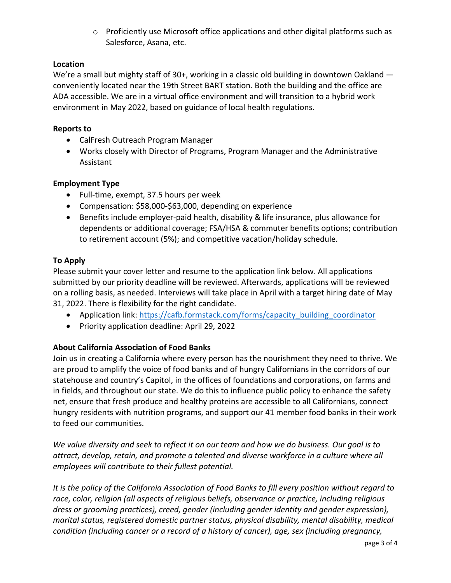o Proficiently use Microsoft office applications and other digital platforms such as Salesforce, Asana, etc.

### **Location**

We're a small but mighty staff of 30+, working in a classic old building in downtown Oakland conveniently located near the 19th Street BART station. Both the building and the office are ADA accessible. We are in a virtual office environment and will transition to a hybrid work environment in May 2022, based on guidance of local health regulations.

### **Reports to**

- CalFresh Outreach Program Manager
- Works closely with Director of Programs, Program Manager and the Administrative Assistant

## **Employment Type**

- Full-time, exempt, 37.5 hours per week
- Compensation: \$58,000‐\$63,000, depending on experience
- Benefits include employer-paid health, disability & life insurance, plus allowance for dependents or additional coverage; FSA/HSA & commuter benefits options; contribution to retirement account (5%); and competitive vacation/holiday schedule.

## **To Apply**

Please submit your cover letter and resume to the application link below. All applications submitted by our priority deadline will be reviewed. Afterwards, applications will be reviewed on a rolling basis, as needed. Interviews will take place in April with a target hiring date of May 31, 2022. There is flexibility for the right candidate.

- Application link: https://cafb.formstack.com/forms/capacity\_building\_coordinator
- Priority application deadline: April 29, 2022

## **About California Association of Food Banks**

Join us in creating a California where every person has the nourishment they need to thrive. We are proud to amplify the voice of food banks and of hungry Californians in the corridors of our statehouse and country's Capitol, in the offices of foundations and corporations, on farms and in fields, and throughout our state. We do this to influence public policy to enhance the safety net, ensure that fresh produce and healthy proteins are accessible to all Californians, connect hungry residents with nutrition programs, and support our 41 member food banks in their work to feed our communities.

We value diversity and seek to reflect it on our team and how we do business. Our goal is to *attract, develop, retain, and promote a talented and diverse workforce in a culture where all employees will contribute to their fullest potential.*

It is the policy of the California Association of Food Banks to fill every position without regard to *race, color, religion (all aspects of religious beliefs, observance or practice, including religious dress or grooming practices), creed, gender (including gender identity and gender expression), marital status, registered domestic partner status, physical disability, mental disability, medical condition (including cancer or a record of a history of cancer), age, sex (including pregnancy,*